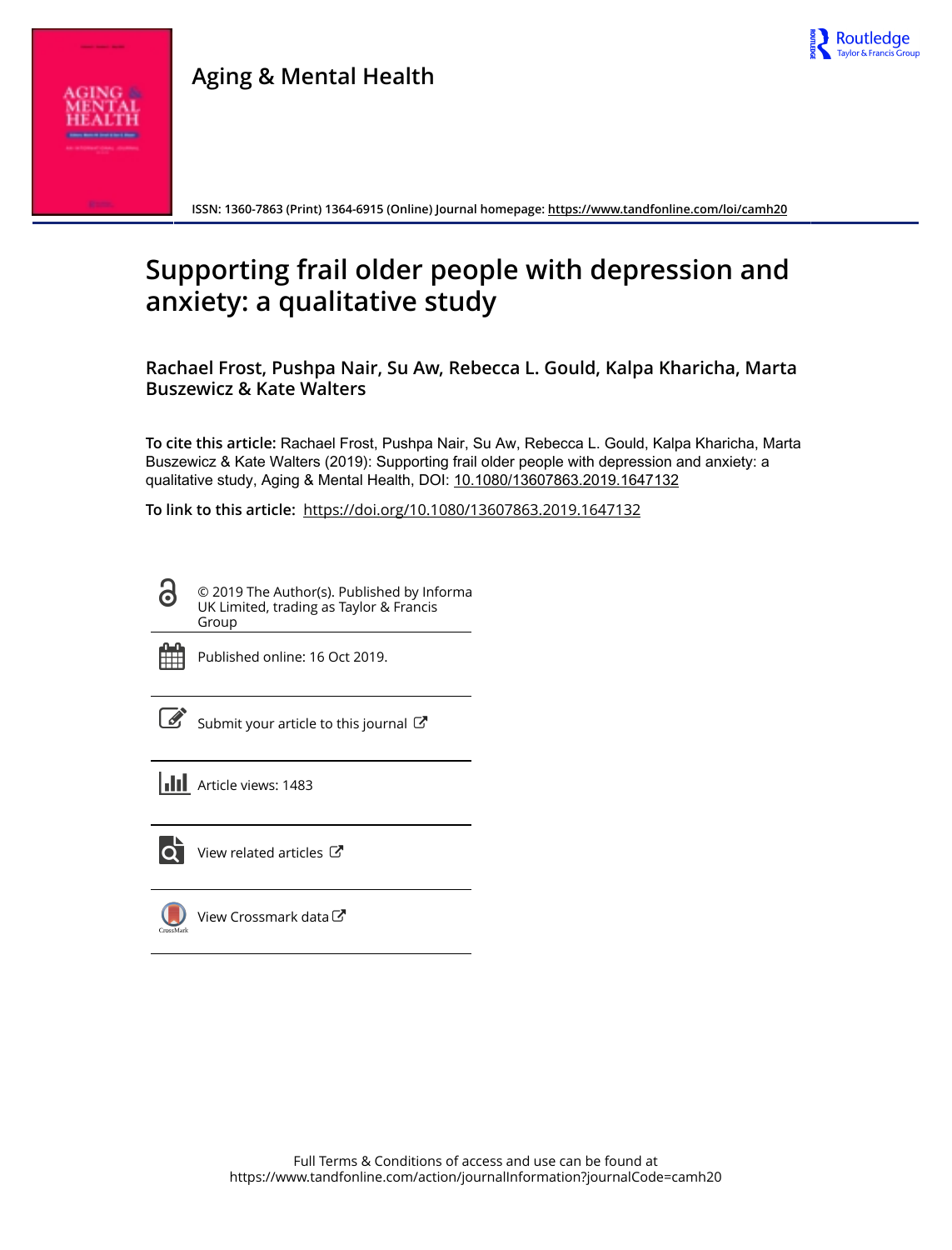



**ISSN: 1360-7863 (Print) 1364-6915 (Online) Journal homepage:<https://www.tandfonline.com/loi/camh20>**

# **Supporting frail older people with depression and anxiety: a qualitative study**

**Rachael Frost, Pushpa Nair, Su Aw, Rebecca L. Gould, Kalpa Kharicha, Marta Buszewicz & Kate Walters**

**To cite this article:** Rachael Frost, Pushpa Nair, Su Aw, Rebecca L. Gould, Kalpa Kharicha, Marta Buszewicz & Kate Walters (2019): Supporting frail older people with depression and anxiety: a qualitative study, Aging & Mental Health, DOI: [10.1080/13607863.2019.1647132](https://www.tandfonline.com/action/showCitFormats?doi=10.1080/13607863.2019.1647132)

**To link to this article:** <https://doi.org/10.1080/13607863.2019.1647132>

© 2019 The Author(s). Published by Informa **G** UK Limited, trading as Taylor & Francis Group



Published online: 16 Oct 2019.

| ł |
|---|

[Submit your article to this journal](https://www.tandfonline.com/action/authorSubmission?journalCode=camh20&show=instructions)  $\mathbb{Z}$ 

**III** Article views: 1483



 $\overrightarrow{Q}$  [View related articles](https://www.tandfonline.com/doi/mlt/10.1080/13607863.2019.1647132)  $\overrightarrow{C}$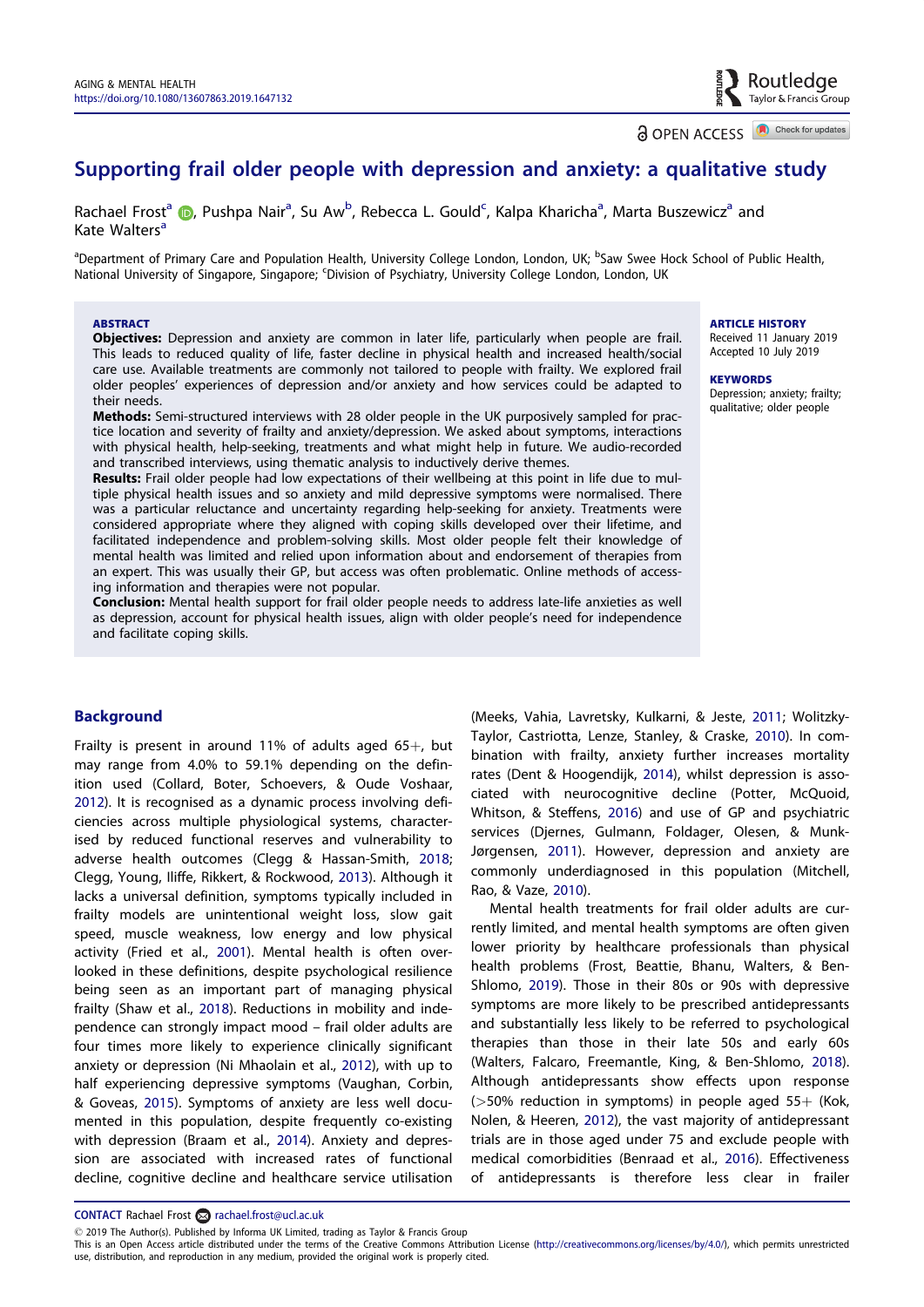a OPEN ACCESS **D** Check for updates

Routledge Taylor & Francis Group

# <span id="page-1-0"></span>Supporting frail older people with depression and anxiety: a qualitative study

Rachael Frost<sup>a</sup> (D[,](http://orcid.org/0000-0003-3523-0052) Pushpa Nair<sup>a</sup>, Su Aw<sup>b</sup>, Rebecca L. Gould<sup>c</sup>, Kalpa Kharicha<sup>a</sup>, Marta Buszewicz<sup>a</sup> and Kate Walters<sup>a</sup>

<sup>a</sup>Department of Primary Care and Population Health, University College London, London, UK; <sup>b</sup>Saw Swee Hock School of Public Health, National University of Singapore, Singapore; 'Division of Psychiatry, University College London, London, UK

#### ABSTRACT

Objectives: Depression and anxiety are common in later life, particularly when people are frail. This leads to reduced quality of life, faster decline in physical health and increased health/social care use. Available treatments are commonly not tailored to people with frailty. We explored frail older peoples' experiences of depression and/or anxiety and how services could be adapted to their needs.

Methods: Semi-structured interviews with 28 older people in the UK purposively sampled for practice location and severity of frailty and anxiety/depression. We asked about symptoms, interactions with physical health, help-seeking, treatments and what might help in future. We audio-recorded and transcribed interviews, using thematic analysis to inductively derive themes.

Results: Frail older people had low expectations of their wellbeing at this point in life due to multiple physical health issues and so anxiety and mild depressive symptoms were normalised. There was a particular reluctance and uncertainty regarding help-seeking for anxiety. Treatments were considered appropriate where they aligned with coping skills developed over their lifetime, and facilitated independence and problem-solving skills. Most older people felt their knowledge of mental health was limited and relied upon information about and endorsement of therapies from an expert. This was usually their GP, but access was often problematic. Online methods of accessing information and therapies were not popular.

Conclusion: Mental health support for frail older people needs to address late-life anxieties as well as depression, account for physical health issues, align with older people's need for independence and facilitate coping skills.

# **Background**

Frailty is present in around 11% of adults aged  $65+$ , but may range from 4.0% to 59.1% depending on the definition used (Collard, Boter, Schoevers, & Oude Voshaar, [2012](#page-7-0)). It is recognised as a dynamic process involving deficiencies across multiple physiological systems, characterised by reduced functional reserves and vulnerability to adverse health outcomes (Clegg & Hassan-Smith, [2018;](#page-7-0) Clegg, Young, Iliffe, Rikkert, & Rockwood, [2013\)](#page-7-0). Although it lacks a universal definition, symptoms typically included in frailty models are unintentional weight loss, slow gait speed, muscle weakness, low energy and low physical activity (Fried et al., [2001](#page-7-0)). Mental health is often overlooked in these definitions, despite psychological resilience being seen as an important part of managing physical frailty (Shaw et al., [2018\)](#page-8-0). Reductions in mobility and independence can strongly impact mood – frail older adults are four times more likely to experience clinically significant anxiety or depression (Ni Mhaolain et al., [2012\)](#page-8-0), with up to half experiencing depressive symptoms (Vaughan, Corbin, & Goveas, [2015](#page-8-0)). Symptoms of anxiety are less well documented in this population, despite frequently co-existing with depression (Braam et al., [2014\)](#page-7-0). Anxiety and depression are associated with increased rates of functional decline, cognitive decline and healthcare service utilisation

(Meeks, Vahia, Lavretsky, Kulkarni, & Jeste, [2011](#page-8-0); Wolitzky-Taylor, Castriotta, Lenze, Stanley, & Craske, [2010](#page-8-0)). In combination with frailty, anxiety further increases mortality rates (Dent & Hoogendijk, [2014\)](#page-7-0), whilst depression is associated with neurocognitive decline (Potter, McQuoid, Whitson, & Steffens, [2016](#page-8-0)) and use of GP and psychiatric services (Djernes, Gulmann, Foldager, Olesen, & Munk-Jørgensen, [2011\)](#page-7-0). However, depression and anxiety are commonly underdiagnosed in this population (Mitchell, Rao, & Vaze, [2010\)](#page-8-0).

Mental health treatments for frail older adults are currently limited, and mental health symptoms are often given lower priority by healthcare professionals than physical health problems (Frost, Beattie, Bhanu, Walters, & Ben-Shlomo, [2019](#page-8-0)). Those in their 80s or 90s with depressive symptoms are more likely to be prescribed antidepressants and substantially less likely to be referred to psychological therapies than those in their late 50s and early 60s (Walters, Falcaro, Freemantle, King, & Ben-Shlomo, [2018\)](#page-8-0). Although antidepressants show effects upon response  $($ >50% reduction in symptoms) in people aged 55+ (Kok, Nolen, & Heeren, [2012\)](#page-8-0), the vast majority of antidepressant trials are in those aged under 75 and exclude people with medical comorbidities (Benraad et al., [2016\)](#page-7-0). Effectiveness of antidepressants is therefore less clear in frailer

CONTACT Rachael Frost and rachael.frost@ucl.ac.uk

2019 The Author(s). Published by Informa UK Limited, trading as Taylor & Francis Group

**ARTICLE HISTORY** Received 11 January 2019 Accepted 10 July 2019

**KEYWORDS** Depression; anxiety; frailty; qualitative; older people

This is an Open Access article distributed under the terms of the Creative Commons Attribution License ([http://creativecommons.org/licenses/by/4.0/\)](http://creativecommons.org/licenses/by/4.0/), which permits unrestricted use, distribution, and reproduction in any medium, provided the original work is properly cited.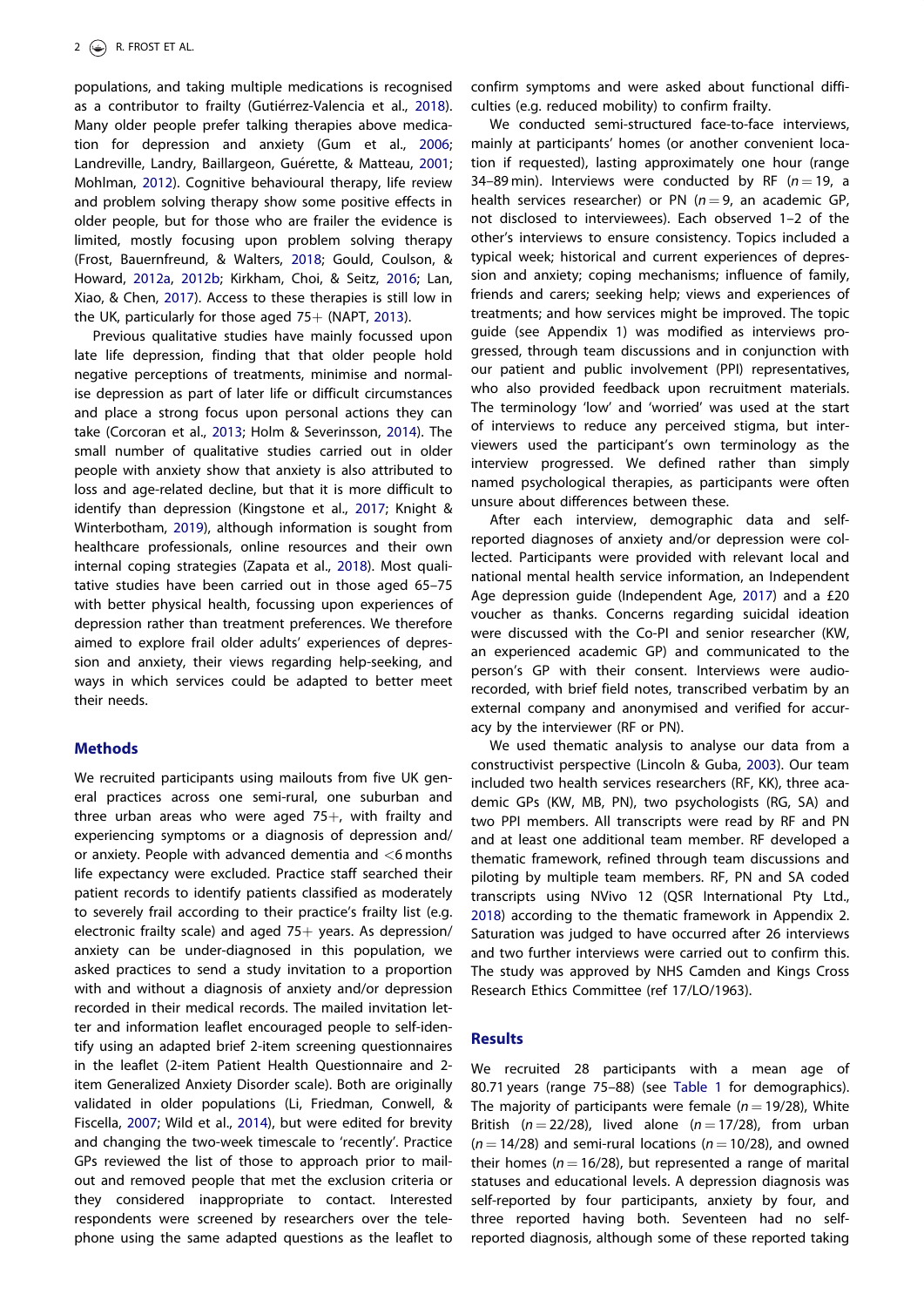<span id="page-2-0"></span>populations, and taking multiple medications is recognised as a contributor to frailty (Guti errez-Valencia et al., [2018\)](#page-8-0). Many older people prefer talking therapies above medication for depression and anxiety (Gum et al., [2006;](#page-8-0) Landreville, Landry, Baillargeon, Gu erette, & Matteau, [2001;](#page-8-0) Mohlman, [2012](#page-8-0)). Cognitive behavioural therapy, life review and problem solving therapy show some positive effects in older people, but for those who are frailer the evidence is limited, mostly focusing upon problem solving therapy (Frost, Bauernfreund, & Walters, [2018](#page-8-0); Gould, Coulson, & Howard, [2012a](#page-8-0), [2012b;](#page-8-0) Kirkham, Choi, & Seitz, [2016;](#page-8-0) Lan, Xiao, & Chen, [2017](#page-8-0)). Access to these therapies is still low in the UK, particularly for those aged  $75+$  (NAPT, [2013\)](#page-8-0).

Previous qualitative studies have mainly focussed upon late life depression, finding that that older people hold negative perceptions of treatments, minimise and normalise depression as part of later life or difficult circumstances and place a strong focus upon personal actions they can take (Corcoran et al., [2013](#page-7-0); Holm & Severinsson, [2014\)](#page-8-0). The small number of qualitative studies carried out in older people with anxiety show that anxiety is also attributed to loss and age-related decline, but that it is more difficult to identify than depression (Kingstone et al., [2017](#page-8-0); Knight & Winterbotham, [2019](#page-8-0)), although information is sought from healthcare professionals, online resources and their own internal coping strategies (Zapata et al., [2018\)](#page-8-0). Most qualitative studies have been carried out in those aged 65–75 with better physical health, focussing upon experiences of depression rather than treatment preferences. We therefore aimed to explore frail older adults' experiences of depression and anxiety, their views regarding help-seeking, and ways in which services could be adapted to better meet their needs.

# Methods

We recruited participants using mailouts from five UK general practices across one semi-rural, one suburban and three urban areas who were aged  $75+$ , with frailty and experiencing symptoms or a diagnosis of depression and/ or anxiety. People with advanced dementia and <6 months life expectancy were excluded. Practice staff searched their patient records to identify patients classified as moderately to severely frail according to their practice's frailty list (e.g. electronic frailty scale) and aged  $75+$  years. As depression/ anxiety can be under-diagnosed in this population, we asked practices to send a study invitation to a proportion with and without a diagnosis of anxiety and/or depression recorded in their medical records. The mailed invitation letter and information leaflet encouraged people to self-identify using an adapted brief 2-item screening questionnaires in the leaflet (2-item Patient Health Questionnaire and 2 item Generalized Anxiety Disorder scale). Both are originally validated in older populations (Li, Friedman, Conwell, & Fiscella, [2007](#page-8-0); Wild et al., [2014\)](#page-8-0), but were edited for brevity and changing the two-week timescale to 'recently'. Practice GPs reviewed the list of those to approach prior to mailout and removed people that met the exclusion criteria or they considered inappropriate to contact. Interested respondents were screened by researchers over the telephone using the same adapted questions as the leaflet to

confirm symptoms and were asked about functional difficulties (e.g. reduced mobility) to confirm frailty.

We conducted semi-structured face-to-face interviews, mainly at participants' homes (or another convenient location if requested), lasting approximately one hour (range 34–89 min). Interviews were conducted by RF ( $n = 19$ , a health services researcher) or PN ( $n = 9$ , an academic GP, not disclosed to interviewees). Each observed 1–2 of the other's interviews to ensure consistency. Topics included a typical week; historical and current experiences of depression and anxiety; coping mechanisms; influence of family, friends and carers; seeking help; views and experiences of treatments; and how services might be improved. The topic guide (see Appendix 1) was modified as interviews progressed, through team discussions and in conjunction with our patient and public involvement (PPI) representatives, who also provided feedback upon recruitment materials. The terminology 'low' and 'worried' was used at the start of interviews to reduce any perceived stigma, but interviewers used the participant's own terminology as the interview progressed. We defined rather than simply named psychological therapies, as participants were often unsure about differences between these.

After each interview, demographic data and selfreported diagnoses of anxiety and/or depression were collected. Participants were provided with relevant local and national mental health service information, an Independent Age depression guide (Independent Age, [2017](#page-8-0)) and a £20 voucher as thanks. Concerns regarding suicidal ideation were discussed with the Co-PI and senior researcher (KW, an experienced academic GP) and communicated to the person's GP with their consent. Interviews were audiorecorded, with brief field notes, transcribed verbatim by an external company and anonymised and verified for accuracy by the interviewer (RF or PN).

We used thematic analysis to analyse our data from a constructivist perspective (Lincoln & Guba, [2003\)](#page-8-0). Our team included two health services researchers (RF, KK), three academic GPs (KW, MB, PN), two psychologists (RG, SA) and two PPI members. All transcripts were read by RF and PN and at least one additional team member. RF developed a thematic framework, refined through team discussions and piloting by multiple team members. RF, PN and SA coded transcripts using NVivo 12 (QSR International Pty Ltd., [2018](#page-8-0)) according to the thematic framework in Appendix 2. Saturation was judged to have occurred after 26 interviews and two further interviews were carried out to confirm this. The study was approved by NHS Camden and Kings Cross Research Ethics Committee (ref 17/LO/1963).

# **Results**

We recruited 28 participants with a mean age of 80.71 years (range 75–88) (see [Table 1](#page-3-0) for demographics). The majority of participants were female ( $n = 19/28$ ), White British ( $n = 22/28$ ), lived alone ( $n = 17/28$ ), from urban  $(n = 14/28)$  and semi-rural locations  $(n = 10/28)$ , and owned their homes ( $n = 16/28$ ), but represented a range of marital statuses and educational levels. A depression diagnosis was self-reported by four participants, anxiety by four, and three reported having both. Seventeen had no selfreported diagnosis, although some of these reported taking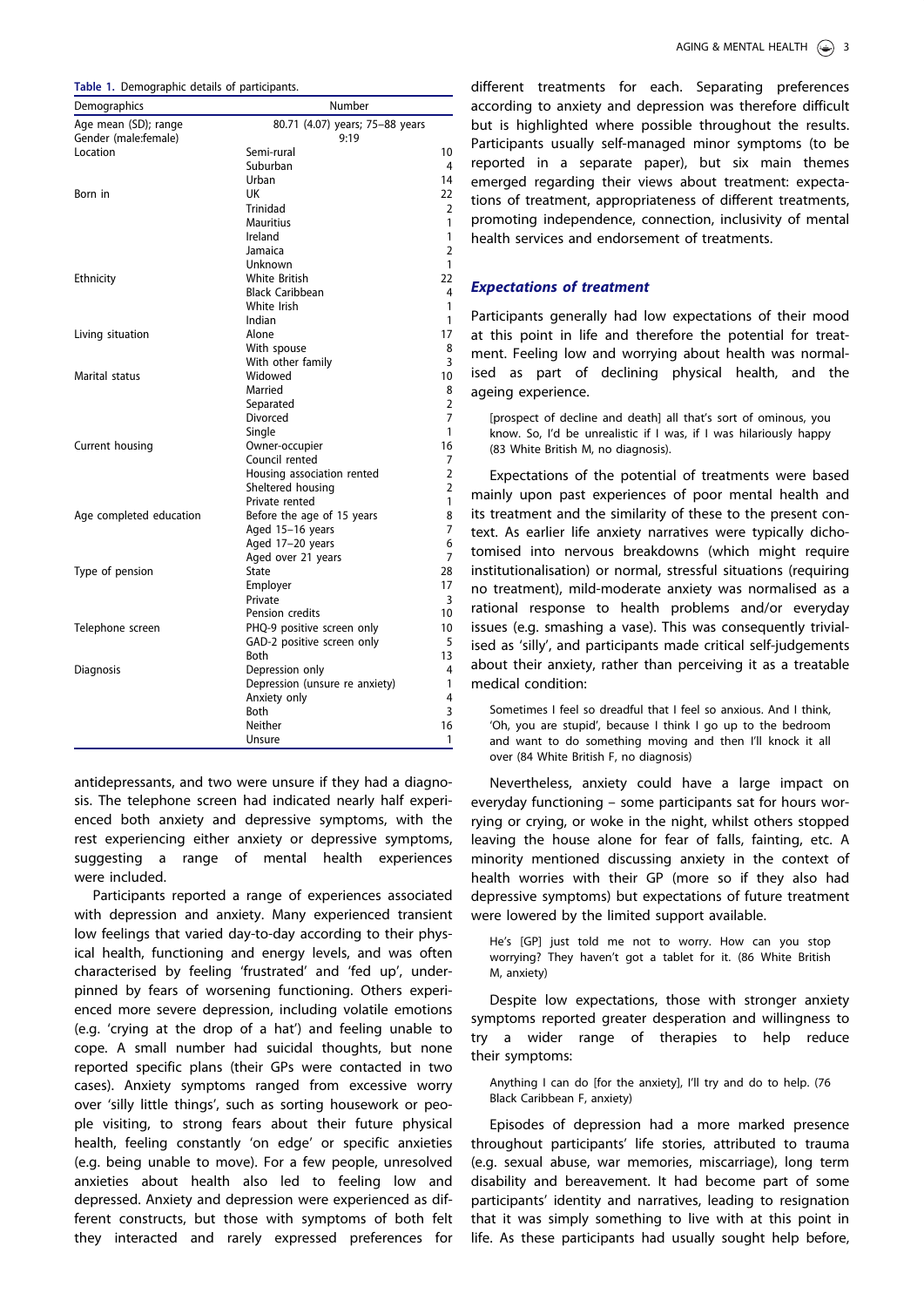<span id="page-3-0"></span>

|  | Table 1. Demographic details of participants. |  |  |
|--|-----------------------------------------------|--|--|
|--|-----------------------------------------------|--|--|

| Demographics            | Number                          |                |  |
|-------------------------|---------------------------------|----------------|--|
| Age mean (SD); range    | 80.71 (4.07) years; 75-88 years |                |  |
| Gender (male:female)    | 9:19                            |                |  |
| Location                | Semi-rural                      | 10             |  |
|                         | Suburban                        | 4              |  |
|                         | Urban                           | 14             |  |
| Born in                 | UK                              | 22             |  |
|                         | <b>Trinidad</b>                 | $\overline{2}$ |  |
|                         | <b>Mauritius</b>                | 1              |  |
|                         | Ireland                         | 1              |  |
|                         | Jamaica                         | $\overline{2}$ |  |
|                         | Unknown                         | 1              |  |
| Ethnicity               | White British                   | 22             |  |
|                         | <b>Black Caribbean</b>          | 4              |  |
|                         | White Irish                     | 1              |  |
|                         | Indian                          | 1              |  |
| Living situation        | Alone                           | 17             |  |
|                         | With spouse                     | 8              |  |
|                         | With other family               | 3              |  |
| Marital status          | Widowed                         | 10             |  |
|                         | Married                         | 8              |  |
|                         | Separated                       | $\overline{2}$ |  |
|                         | Divorced                        | $\overline{7}$ |  |
|                         | Single                          | 1              |  |
| Current housing         | Owner-occupier                  | 16             |  |
|                         | Council rented                  | 7              |  |
|                         | Housing association rented      | $\overline{2}$ |  |
|                         | Sheltered housing               | $\overline{2}$ |  |
|                         | Private rented                  | 1              |  |
| Age completed education | Before the age of 15 years      | 8              |  |
|                         | Aged 15-16 years                | 7              |  |
|                         | Aged 17-20 years                | 6              |  |
|                         | Aged over 21 years              | 7              |  |
| Type of pension         | <b>State</b>                    | 28             |  |
|                         | Employer                        | 17             |  |
|                         | Private                         | 3              |  |
|                         | Pension credits                 | 10             |  |
| Telephone screen        | PHQ-9 positive screen only      | 10             |  |
|                         | GAD-2 positive screen only      | 5              |  |
|                         | Both                            | 13             |  |
| Diagnosis               | Depression only                 | 4              |  |
|                         | Depression (unsure re anxiety)  | 1              |  |
|                         | Anxiety only                    | 4              |  |
|                         | Both                            | 3              |  |
|                         | Neither                         | 16             |  |
|                         | Unsure                          | 1              |  |
|                         |                                 |                |  |

antidepressants, and two were unsure if they had a diagnosis. The telephone screen had indicated nearly half experienced both anxiety and depressive symptoms, with the rest experiencing either anxiety or depressive symptoms, suggesting a range of mental health experiences were included.

Participants reported a range of experiences associated with depression and anxiety. Many experienced transient low feelings that varied day-to-day according to their physical health, functioning and energy levels, and was often characterised by feeling 'frustrated' and 'fed up', underpinned by fears of worsening functioning. Others experienced more severe depression, including volatile emotions (e.g. 'crying at the drop of a hat') and feeling unable to cope. A small number had suicidal thoughts, but none reported specific plans (their GPs were contacted in two cases). Anxiety symptoms ranged from excessive worry over 'silly little things', such as sorting housework or people visiting, to strong fears about their future physical health, feeling constantly 'on edge' or specific anxieties (e.g. being unable to move). For a few people, unresolved anxieties about health also led to feeling low and depressed. Anxiety and depression were experienced as different constructs, but those with symptoms of both felt they interacted and rarely expressed preferences for

different treatments for each. Separating preferences according to anxiety and depression was therefore difficult but is highlighted where possible throughout the results. Participants usually self-managed minor symptoms (to be reported in a separate paper), but six main themes emerged regarding their views about treatment: expectations of treatment, appropriateness of different treatments, promoting independence, connection, inclusivity of mental health services and endorsement of treatments.

### Expectations of treatment

Participants generally had low expectations of their mood at this point in life and therefore the potential for treatment. Feeling low and worrying about health was normalised as part of declining physical health, and the ageing experience.

[prospect of decline and death] all that's sort of ominous, you know. So, I'd be unrealistic if I was, if I was hilariously happy (83 White British M, no diagnosis).

Expectations of the potential of treatments were based mainly upon past experiences of poor mental health and its treatment and the similarity of these to the present context. As earlier life anxiety narratives were typically dichotomised into nervous breakdowns (which might require institutionalisation) or normal, stressful situations (requiring no treatment), mild-moderate anxiety was normalised as a rational response to health problems and/or everyday issues (e.g. smashing a vase). This was consequently trivialised as 'silly', and participants made critical self-judgements about their anxiety, rather than perceiving it as a treatable medical condition:

Sometimes I feel so dreadful that I feel so anxious. And I think, 'Oh, you are stupid', because I think I go up to the bedroom and want to do something moving and then I'll knock it all over (84 White British F, no diagnosis)

Nevertheless, anxiety could have a large impact on everyday functioning – some participants sat for hours worrying or crying, or woke in the night, whilst others stopped leaving the house alone for fear of falls, fainting, etc. A minority mentioned discussing anxiety in the context of health worries with their GP (more so if they also had depressive symptoms) but expectations of future treatment were lowered by the limited support available.

He's [GP] just told me not to worry. How can you stop worrying? They haven't got a tablet for it. (86 White British M, anxiety)

Despite low expectations, those with stronger anxiety symptoms reported greater desperation and willingness to try a wider range of therapies to help reduce their symptoms:

Anything I can do [for the anxiety], I'll try and do to help. (76 Black Caribbean F, anxiety)

Episodes of depression had a more marked presence throughout participants' life stories, attributed to trauma (e.g. sexual abuse, war memories, miscarriage), long term disability and bereavement. It had become part of some participants' identity and narratives, leading to resignation that it was simply something to live with at this point in life. As these participants had usually sought help before,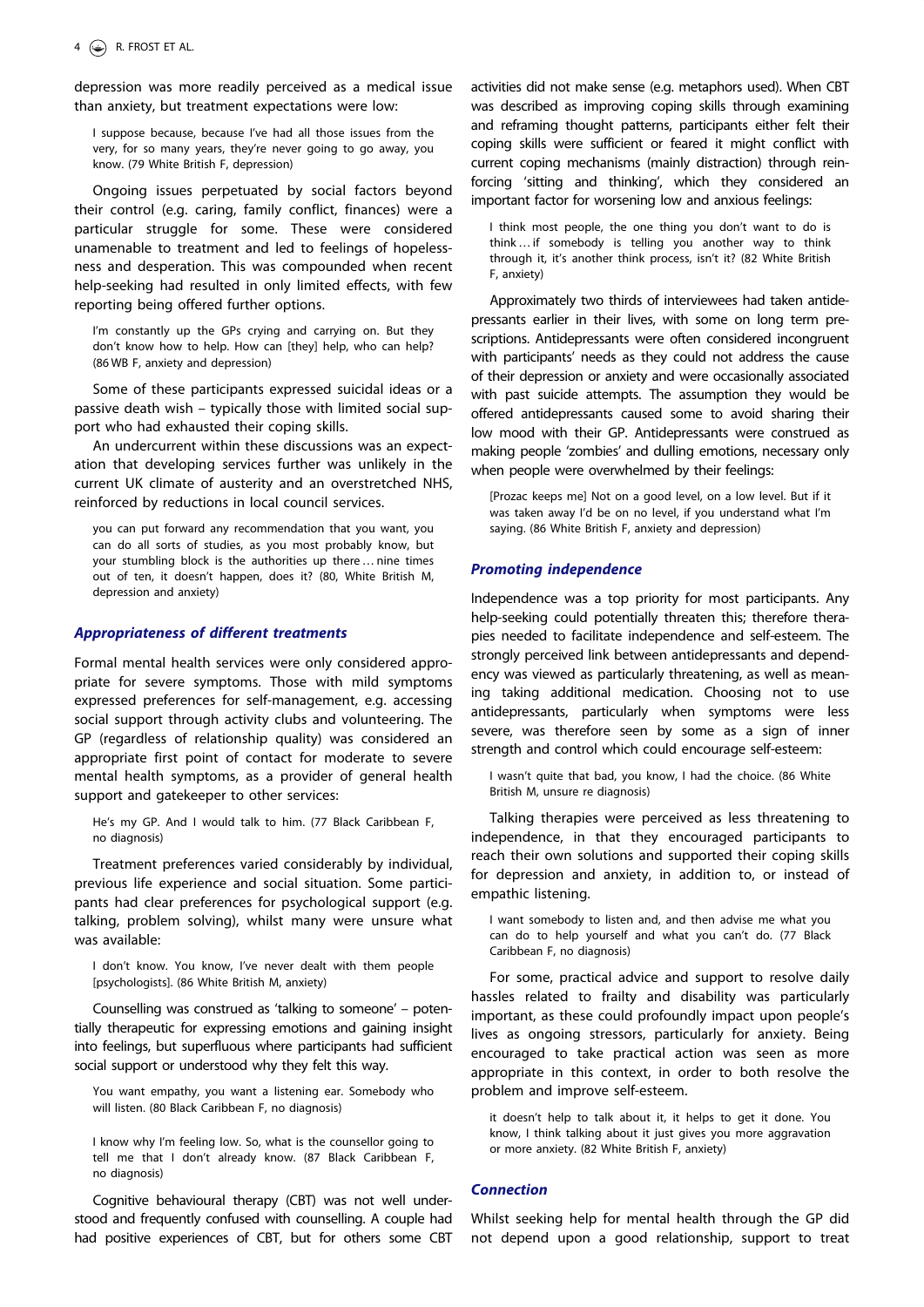depression was more readily perceived as a medical issue than anxiety, but treatment expectations were low:

I suppose because, because I've had all those issues from the very, for so many years, they're never going to go away, you know. (79 White British F, depression)

Ongoing issues perpetuated by social factors beyond their control (e.g. caring, family conflict, finances) were a particular struggle for some. These were considered unamenable to treatment and led to feelings of hopelessness and desperation. This was compounded when recent help-seeking had resulted in only limited effects, with few reporting being offered further options.

I'm constantly up the GPs crying and carrying on. But they don't know how to help. How can [they] help, who can help? (86 WB F, anxiety and depression)

Some of these participants expressed suicidal ideas or a passive death wish – typically those with limited social support who had exhausted their coping skills.

An undercurrent within these discussions was an expectation that developing services further was unlikely in the current UK climate of austerity and an overstretched NHS, reinforced by reductions in local council services.

you can put forward any recommendation that you want, you can do all sorts of studies, as you most probably know, but your stumbling block is the authorities up there… nine times out of ten, it doesn't happen, does it? (80, White British M, depression and anxiety)

#### Appropriateness of different treatments

Formal mental health services were only considered appropriate for severe symptoms. Those with mild symptoms expressed preferences for self-management, e.g. accessing social support through activity clubs and volunteering. The GP (regardless of relationship quality) was considered an appropriate first point of contact for moderate to severe mental health symptoms, as a provider of general health support and gatekeeper to other services:

He's my GP. And I would talk to him. (77 Black Caribbean F, no diagnosis)

Treatment preferences varied considerably by individual, previous life experience and social situation. Some participants had clear preferences for psychological support (e.g. talking, problem solving), whilst many were unsure what was available:

I don't know. You know, I've never dealt with them people [psychologists]. (86 White British M, anxiety)

Counselling was construed as 'talking to someone' – potentially therapeutic for expressing emotions and gaining insight into feelings, but superfluous where participants had sufficient social support or understood why they felt this way.

You want empathy, you want a listening ear. Somebody who will listen. (80 Black Caribbean F, no diagnosis)

I know why I'm feeling low. So, what is the counsellor going to tell me that I don't already know. (87 Black Caribbean F, no diagnosis)

Cognitive behavioural therapy (CBT) was not well understood and frequently confused with counselling. A couple had had positive experiences of CBT, but for others some CBT activities did not make sense (e.g. metaphors used). When CBT was described as improving coping skills through examining and reframing thought patterns, participants either felt their coping skills were sufficient or feared it might conflict with current coping mechanisms (mainly distraction) through reinforcing 'sitting and thinking', which they considered an important factor for worsening low and anxious feelings:

I think most people, the one thing you don't want to do is think… if somebody is telling you another way to think through it, it's another think process, isn't it? (82 White British F, anxiety)

Approximately two thirds of interviewees had taken antidepressants earlier in their lives, with some on long term prescriptions. Antidepressants were often considered incongruent with participants' needs as they could not address the cause of their depression or anxiety and were occasionally associated with past suicide attempts. The assumption they would be offered antidepressants caused some to avoid sharing their low mood with their GP. Antidepressants were construed as making people 'zombies' and dulling emotions, necessary only when people were overwhelmed by their feelings:

[Prozac keeps me] Not on a good level, on a low level. But if it was taken away I'd be on no level, if you understand what I'm saying. (86 White British F, anxiety and depression)

#### Promoting independence

Independence was a top priority for most participants. Any help-seeking could potentially threaten this; therefore therapies needed to facilitate independence and self-esteem. The strongly perceived link between antidepressants and dependency was viewed as particularly threatening, as well as meaning taking additional medication. Choosing not to use antidepressants, particularly when symptoms were less severe, was therefore seen by some as a sign of inner strength and control which could encourage self-esteem:

I wasn't quite that bad, you know, I had the choice. (86 White British M, unsure re diagnosis)

Talking therapies were perceived as less threatening to independence, in that they encouraged participants to reach their own solutions and supported their coping skills for depression and anxiety, in addition to, or instead of empathic listening.

I want somebody to listen and, and then advise me what you can do to help yourself and what you can't do. (77 Black Caribbean F, no diagnosis)

For some, practical advice and support to resolve daily hassles related to frailty and disability was particularly important, as these could profoundly impact upon people's lives as ongoing stressors, particularly for anxiety. Being encouraged to take practical action was seen as more appropriate in this context, in order to both resolve the problem and improve self-esteem.

it doesn't help to talk about it, it helps to get it done. You know, I think talking about it just gives you more aggravation or more anxiety. (82 White British F, anxiety)

# **Connection**

Whilst seeking help for mental health through the GP did not depend upon a good relationship, support to treat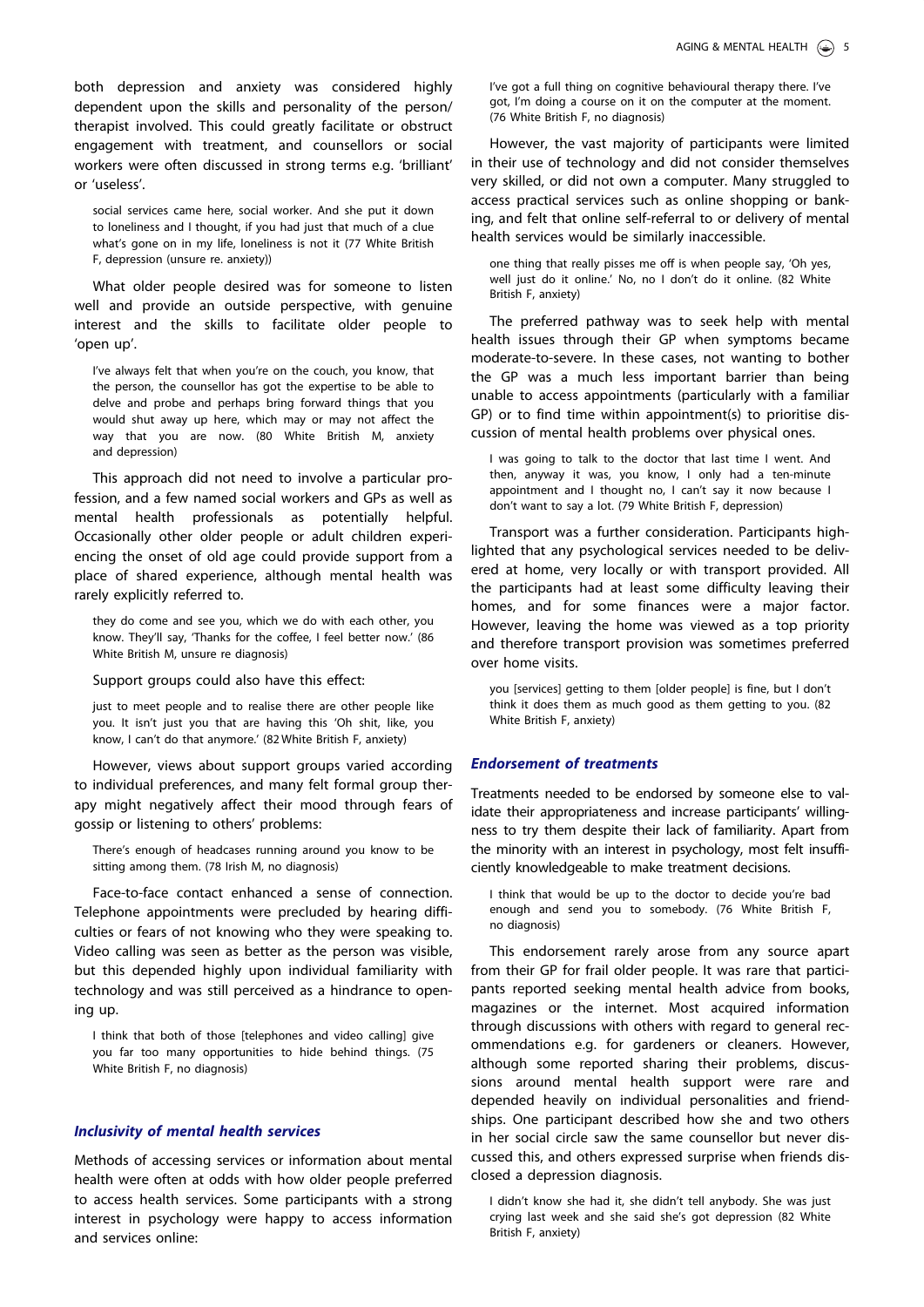both depression and anxiety was considered highly dependent upon the skills and personality of the person/ therapist involved. This could greatly facilitate or obstruct engagement with treatment, and counsellors or social workers were often discussed in strong terms e.g. 'brilliant' or 'useless'.

social services came here, social worker. And she put it down to loneliness and I thought, if you had just that much of a clue what's gone on in my life, loneliness is not it (77 White British F, depression (unsure re. anxiety))

What older people desired was for someone to listen well and provide an outside perspective, with genuine interest and the skills to facilitate older people to 'open up'.

I've always felt that when you're on the couch, you know, that the person, the counsellor has got the expertise to be able to delve and probe and perhaps bring forward things that you would shut away up here, which may or may not affect the way that you are now. (80 White British M, anxiety and depression)

This approach did not need to involve a particular profession, and a few named social workers and GPs as well as mental health professionals as potentially helpful. Occasionally other older people or adult children experiencing the onset of old age could provide support from a place of shared experience, although mental health was rarely explicitly referred to.

they do come and see you, which we do with each other, you know. They'll say, 'Thanks for the coffee, I feel better now.' (86 White British M, unsure re diagnosis)

Support groups could also have this effect:

just to meet people and to realise there are other people like you. It isn't just you that are having this 'Oh shit, like, you know, I can't do that anymore.' (82 White British F, anxiety)

However, views about support groups varied according to individual preferences, and many felt formal group therapy might negatively affect their mood through fears of gossip or listening to others' problems:

There's enough of headcases running around you know to be sitting among them. (78 Irish M, no diagnosis)

Face-to-face contact enhanced a sense of connection. Telephone appointments were precluded by hearing difficulties or fears of not knowing who they were speaking to. Video calling was seen as better as the person was visible, but this depended highly upon individual familiarity with technology and was still perceived as a hindrance to opening up.

I think that both of those [telephones and video calling] give you far too many opportunities to hide behind things. (75 White British F, no diagnosis)

#### Inclusivity of mental health services

Methods of accessing services or information about mental health were often at odds with how older people preferred to access health services. Some participants with a strong interest in psychology were happy to access information and services online:

I've got a full thing on cognitive behavioural therapy there. I've got, I'm doing a course on it on the computer at the moment. (76 White British F, no diagnosis)

However, the vast majority of participants were limited in their use of technology and did not consider themselves very skilled, or did not own a computer. Many struggled to access practical services such as online shopping or banking, and felt that online self-referral to or delivery of mental health services would be similarly inaccessible.

one thing that really pisses me off is when people say, 'Oh yes, well just do it online.' No, no I don't do it online. (82 White British F, anxiety)

The preferred pathway was to seek help with mental health issues through their GP when symptoms became moderate-to-severe. In these cases, not wanting to bother the GP was a much less important barrier than being unable to access appointments (particularly with a familiar GP) or to find time within appointment(s) to prioritise discussion of mental health problems over physical ones.

I was going to talk to the doctor that last time I went. And then, anyway it was, you know, I only had a ten-minute appointment and I thought no, I can't say it now because I don't want to say a lot. (79 White British F, depression)

Transport was a further consideration. Participants highlighted that any psychological services needed to be delivered at home, very locally or with transport provided. All the participants had at least some difficulty leaving their homes, and for some finances were a major factor. However, leaving the home was viewed as a top priority and therefore transport provision was sometimes preferred over home visits.

you [services] getting to them [older people] is fine, but I don't think it does them as much good as them getting to you. (82 White British F, anxiety)

#### Endorsement of treatments

Treatments needed to be endorsed by someone else to validate their appropriateness and increase participants' willingness to try them despite their lack of familiarity. Apart from the minority with an interest in psychology, most felt insufficiently knowledgeable to make treatment decisions.

I think that would be up to the doctor to decide you're bad enough and send you to somebody. (76 White British F, no diagnosis)

This endorsement rarely arose from any source apart from their GP for frail older people. It was rare that participants reported seeking mental health advice from books, magazines or the internet. Most acquired information through discussions with others with regard to general recommendations e.g. for gardeners or cleaners. However, although some reported sharing their problems, discussions around mental health support were rare and depended heavily on individual personalities and friendships. One participant described how she and two others in her social circle saw the same counsellor but never discussed this, and others expressed surprise when friends disclosed a depression diagnosis.

I didn't know she had it, she didn't tell anybody. She was just crying last week and she said she's got depression (82 White British F, anxiety)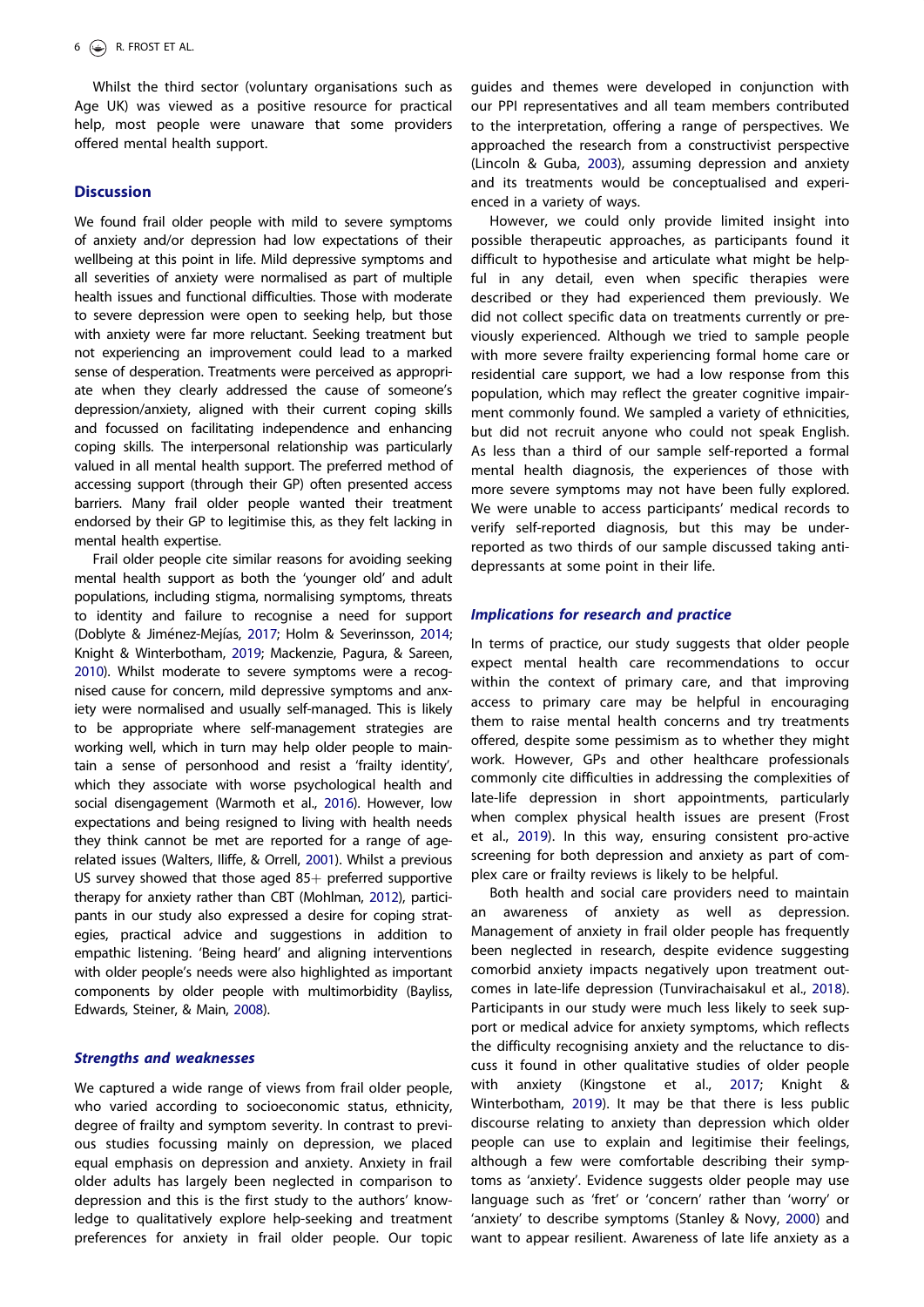<span id="page-6-0"></span>Whilst the third sector (voluntary organisations such as Age UK) was viewed as a positive resource for practical help, most people were unaware that some providers offered mental health support.

# **Discussion**

We found frail older people with mild to severe symptoms of anxiety and/or depression had low expectations of their wellbeing at this point in life. Mild depressive symptoms and all severities of anxiety were normalised as part of multiple health issues and functional difficulties. Those with moderate to severe depression were open to seeking help, but those with anxiety were far more reluctant. Seeking treatment but not experiencing an improvement could lead to a marked sense of desperation. Treatments were perceived as appropriate when they clearly addressed the cause of someone's depression/anxiety, aligned with their current coping skills and focussed on facilitating independence and enhancing coping skills. The interpersonal relationship was particularly valued in all mental health support. The preferred method of accessing support (through their GP) often presented access barriers. Many frail older people wanted their treatment endorsed by their GP to legitimise this, as they felt lacking in mental health expertise.

Frail older people cite similar reasons for avoiding seeking mental health support as both the 'younger old' and adult populations, including stigma, normalising symptoms, threats to identity and failure to recognise a need for support (Doblyte & Jiménez-Mejías, [2017](#page-7-0); Holm & Severinsson, [2014;](#page-8-0) Knight & Winterbotham, [2019](#page-8-0); Mackenzie, Pagura, & Sareen, [2010\)](#page-8-0). Whilst moderate to severe symptoms were a recognised cause for concern, mild depressive symptoms and anxiety were normalised and usually self-managed. This is likely to be appropriate where self-management strategies are working well, which in turn may help older people to maintain a sense of personhood and resist a 'frailty identity', which they associate with worse psychological health and social disengagement (Warmoth et al., [2016\)](#page-8-0). However, low expectations and being resigned to living with health needs they think cannot be met are reported for a range of agerelated issues (Walters, Iliffe, & Orrell, [2001\)](#page-8-0). Whilst a previous US survey showed that those aged  $85+$  preferred supportive therapy for anxiety rather than CBT (Mohlman, [2012\)](#page-8-0), participants in our study also expressed a desire for coping strategies, practical advice and suggestions in addition to empathic listening. 'Being heard' and aligning interventions with older people's needs were also highlighted as important components by older people with multimorbidity (Bayliss, Edwards, Steiner, & Main, [2008\)](#page-7-0).

# Strengths and weaknesses

We captured a wide range of views from frail older people, who varied according to socioeconomic status, ethnicity, degree of frailty and symptom severity. In contrast to previous studies focussing mainly on depression, we placed equal emphasis on depression and anxiety. Anxiety in frail older adults has largely been neglected in comparison to depression and this is the first study to the authors' knowledge to qualitatively explore help-seeking and treatment preferences for anxiety in frail older people. Our topic

guides and themes were developed in conjunction with our PPI representatives and all team members contributed to the interpretation, offering a range of perspectives. We approached the research from a constructivist perspective (Lincoln & Guba, [2003](#page-8-0)), assuming depression and anxiety and its treatments would be conceptualised and experienced in a variety of ways.

However, we could only provide limited insight into possible therapeutic approaches, as participants found it difficult to hypothesise and articulate what might be helpful in any detail, even when specific therapies were described or they had experienced them previously. We did not collect specific data on treatments currently or previously experienced. Although we tried to sample people with more severe frailty experiencing formal home care or residential care support, we had a low response from this population, which may reflect the greater cognitive impairment commonly found. We sampled a variety of ethnicities, but did not recruit anyone who could not speak English. As less than a third of our sample self-reported a formal mental health diagnosis, the experiences of those with more severe symptoms may not have been fully explored. We were unable to access participants' medical records to verify self-reported diagnosis, but this may be underreported as two thirds of our sample discussed taking antidepressants at some point in their life.

# Implications for research and practice

In terms of practice, our study suggests that older people expect mental health care recommendations to occur within the context of primary care, and that improving access to primary care may be helpful in encouraging them to raise mental health concerns and try treatments offered, despite some pessimism as to whether they might work. However, GPs and other healthcare professionals commonly cite difficulties in addressing the complexities of late-life depression in short appointments, particularly when complex physical health issues are present (Frost et al., [2019](#page-8-0)). In this way, ensuring consistent pro-active screening for both depression and anxiety as part of complex care or frailty reviews is likely to be helpful.

Both health and social care providers need to maintain an awareness of anxiety as well as depression. Management of anxiety in frail older people has frequently been neglected in research, despite evidence suggesting comorbid anxiety impacts negatively upon treatment outcomes in late-life depression (Tunvirachaisakul et al., [2018\)](#page-8-0). Participants in our study were much less likely to seek support or medical advice for anxiety symptoms, which reflects the difficulty recognising anxiety and the reluctance to discuss it found in other qualitative studies of older people with anxiety (Kingstone et al., [2017;](#page-8-0) Knight & Winterbotham, [2019](#page-8-0)). It may be that there is less public discourse relating to anxiety than depression which older people can use to explain and legitimise their feelings, although a few were comfortable describing their symptoms as 'anxiety'. Evidence suggests older people may use language such as 'fret' or 'concern' rather than 'worry' or 'anxiety' to describe symptoms (Stanley & Novy, [2000\)](#page-8-0) and want to appear resilient. Awareness of late life anxiety as a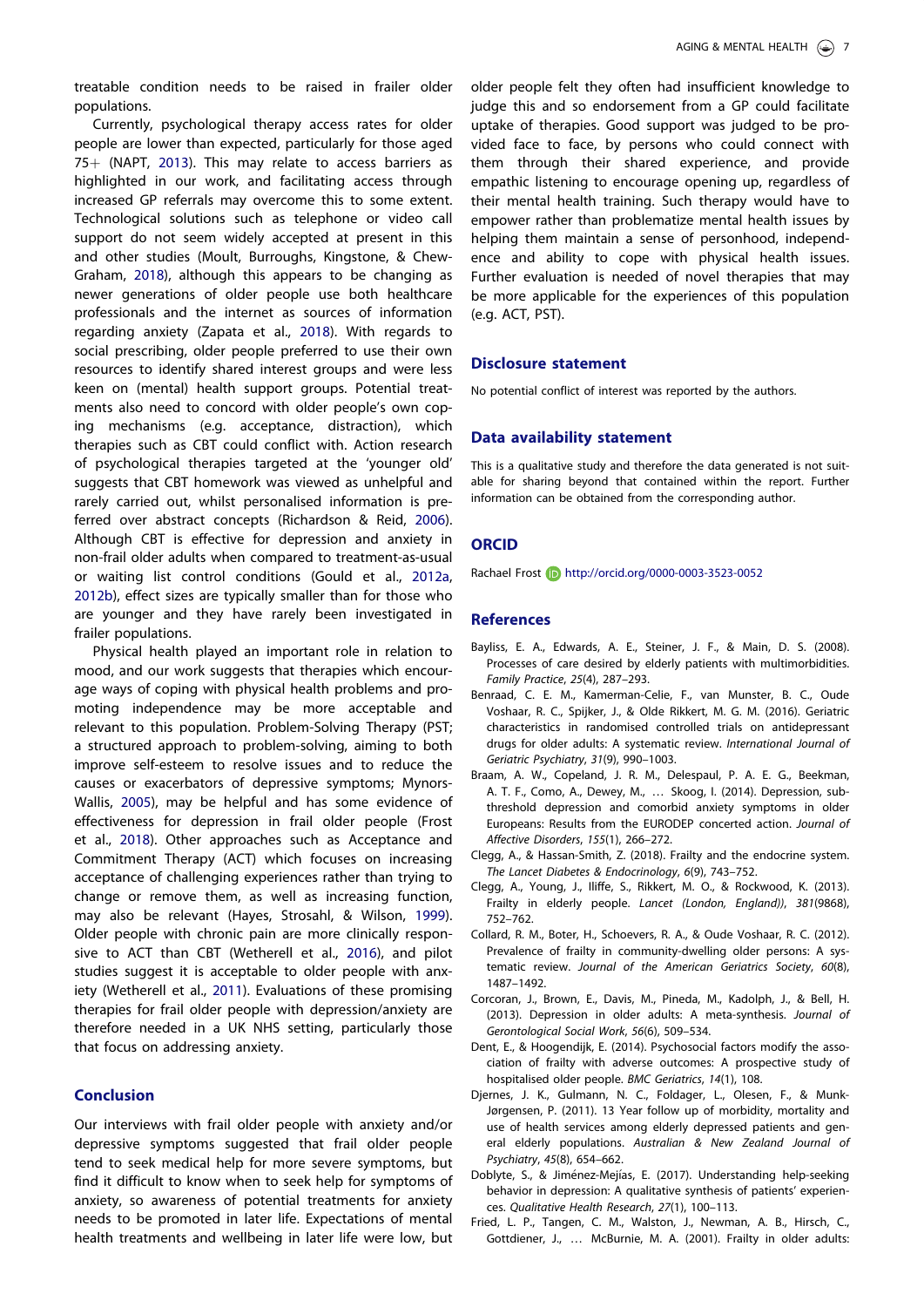<span id="page-7-0"></span>treatable condition needs to be raised in frailer older populations.

Currently, psychological therapy access rates for older people are lower than expected, particularly for those aged 75 $+$  (NAPT, [2013\)](#page-8-0). This may relate to access barriers as highlighted in our work, and facilitating access through increased GP referrals may overcome this to some extent. Technological solutions such as telephone or video call support do not seem widely accepted at present in this and other studies (Moult, Burroughs, Kingstone, & Chew-Graham, [2018\)](#page-8-0), although this appears to be changing as newer generations of older people use both healthcare professionals and the internet as sources of information regarding anxiety (Zapata et al., [2018\)](#page-8-0). With regards to social prescribing, older people preferred to use their own resources to identify shared interest groups and were less keen on (mental) health support groups. Potential treatments also need to concord with older people's own coping mechanisms (e.g. acceptance, distraction), which therapies such as CBT could conflict with. Action research of psychological therapies targeted at the 'younger old' suggests that CBT homework was viewed as unhelpful and rarely carried out, whilst personalised information is preferred over abstract concepts (Richardson & Reid, [2006\)](#page-8-0). Although CBT is effective for depression and anxiety in non-frail older adults when compared to treatment-as-usual or waiting list control conditions (Gould et al., [2012a,](#page-8-0) [2012b\)](#page-8-0), effect sizes are typically smaller than for those who are younger and they have rarely been investigated in frailer populations.

Physical health played an important role in relation to mood, and our work suggests that therapies which encourage ways of coping with physical health problems and promoting independence may be more acceptable and relevant to this population. Problem-Solving Therapy (PST; a structured approach to problem-solving, aiming to both improve self-esteem to resolve issues and to reduce the causes or exacerbators of depressive symptoms; Mynors-Wallis, [2005](#page-8-0)), may be helpful and has some evidence of effectiveness for depression in frail older people (Frost et al., [2018\)](#page-8-0). Other approaches such as Acceptance and Commitment Therapy (ACT) which focuses on increasing acceptance of challenging experiences rather than trying to change or remove them, as well as increasing function, may also be relevant (Hayes, Strosahl, & Wilson, [1999\)](#page-8-0). Older people with chronic pain are more clinically responsive to ACT than CBT (Wetherell et al., [2016\)](#page-8-0), and pilot studies suggest it is acceptable to older people with anxiety (Wetherell et al., [2011](#page-8-0)). Evaluations of these promising therapies for frail older people with depression/anxiety are therefore needed in a UK NHS setting, particularly those that focus on addressing anxiety.

# Conclusion

Our interviews with frail older people with anxiety and/or depressive symptoms suggested that frail older people tend to seek medical help for more severe symptoms, but find it difficult to know when to seek help for symptoms of anxiety, so awareness of potential treatments for anxiety needs to be promoted in later life. Expectations of mental health treatments and wellbeing in later life were low, but

older people felt they often had insufficient knowledge to judge this and so endorsement from a GP could facilitate uptake of therapies. Good support was judged to be provided face to face, by persons who could connect with them through their shared experience, and provide empathic listening to encourage opening up, regardless of their mental health training. Such therapy would have to empower rather than problematize mental health issues by helping them maintain a sense of personhood, independence and ability to cope with physical health issues. Further evaluation is needed of novel therapies that may be more applicable for the experiences of this population (e.g. ACT, PST).

# Disclosure statement

No potential conflict of interest was reported by the authors.

#### Data availability statement

This is a qualitative study and therefore the data generated is not suitable for sharing beyond that contained within the report. Further information can be obtained from the corresponding author.

#### **ORCID**

Rachael Frost **b** http://orcid.org/0000-0003-3523-0052

#### References

- Bayliss, E. A., Edwards, A. E., Steiner, J. F., & Main, D. S. [\(2008\)](#page-6-0). Processes of care desired by elderly patients with multimorbidities. Family Practice, 25(4), 287–293.
- Benraad, C. E. M., Kamerman-Celie, F., van Munster, B. C., Oude Voshaar, R. C., Spijker, J., & Olde Rikkert, M. G. M. [\(2016\)](#page-1-0). Geriatric characteristics in randomised controlled trials on antidepressant drugs for older adults: A systematic review. International Journal of Geriatric Psychiatry, 31(9), 990–1003.
- Braam, A. W., Copeland, J. R. M., Delespaul, P. A. E. G., Beekman, A. T. F., Como, A., Dewey, M., … Skoog, I. [\(2014\)](#page-1-0). Depression, subthreshold depression and comorbid anxiety symptoms in older Europeans: Results from the EURODEP concerted action. Journal of Affective Disorders, 155(1), 266–272.
- Clegg, A., & Hassan-Smith, Z. ([2018](#page-1-0)). Frailty and the endocrine system. The Lancet Diabetes & Endocrinology, 6(9), 743–752.
- Clegg, A., Young, J., Iliffe, S., Rikkert, M. O., & Rockwood, K. [\(2013\)](#page-1-0). Frailty in elderly people. Lancet (London, England)), 381(9868), 752–762.
- Collard, R. M., Boter, H., Schoevers, R. A., & Oude Voshaar, R. C. [\(2012\)](#page-1-0). Prevalence of frailty in community-dwelling older persons: A systematic review. Journal of the American Geriatrics Society, 60(8), 1487–1492.
- Corcoran, J., Brown, E., Davis, M., Pineda, M., Kadolph, J., & Bell, H. ([2013](#page-2-0)). Depression in older adults: A meta-synthesis. Journal of Gerontological Social Work, 56(6), 509–534.
- Dent, E., & Hoogendijk, E. [\(2014\)](#page-1-0). Psychosocial factors modify the association of frailty with adverse outcomes: A prospective study of hospitalised older people. BMC Geriatrics, 14(1), 108.
- Djernes, J. K., Gulmann, N. C., Foldager, L., Olesen, F., & Munk-Jørgensen, P. [\(2011\)](#page-1-0). 13 Year follow up of morbidity, mortality and use of health services among elderly depressed patients and general elderly populations. Australian & New Zealand Journal of Psychiatry, 45(8), 654–662.
- Doblyte, S., & Jiménez-Mejías, E. ([2017\)](#page-6-0). Understanding help-seeking behavior in depression: A qualitative synthesis of patients' experiences. Qualitative Health Research, 27(1), 100–113.
- Fried, L. P., Tangen, C. M., Walston, J., Newman, A. B., Hirsch, C., Gottdiener, J., … McBurnie, M. A. ([2001](#page-1-0)). Frailty in older adults: